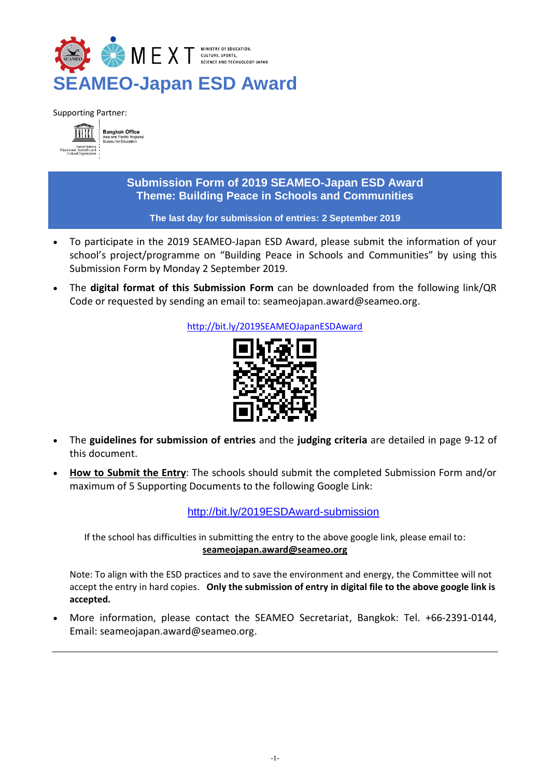

Supporting Partner:



# **Submission Form of 2019 SEAMEO-Japan ESD Award Theme: Building Peace in Schools and Communities**

### **The last day for submission of entries: 2 September 2019**

- To participate in the 2019 SEAMEO-Japan ESD Award, please submit the information of your school's project/programme on "Building Peace in Schools and Communities" by using this Submission Form by Monday 2 September 2019.
- The **digital format of this Submission Form** can be downloaded from the following link/QR Code or requested by sending an email to: [seameojapan.award@seameo.org.](mailto:seameojapan.award@seameo.org)

<http://bit.ly/2019SEAMEOJapanESDAward>



- The **guidelines for submission of entries** and the **judging criteria** are detailed in page 9-12 of this document.
- **How to Submit the Entry**: The schools should submit the completed Submission Form and/or maximum of 5 Supporting Documents to the following Google Link:

<http://bit.ly/2019ESDAward-submission>

If the school has difficulties in submitting the entry to the above google link, please email to: **[seameojapan.award@seameo.org](mailto:seameojapan.award@seameo.org)**

Note: To align with the ESD practices and to save the environment and energy, the Committee will not accept the entry in hard copies. **Only the submission of entry in digital file to the above google link is accepted.**

 More information, please contact the SEAMEO Secretariat, Bangkok: Tel. +66-2391-0144, Email: [seameojapan.award@seameo.org.](mailto:seameojapan.award@seameo.org)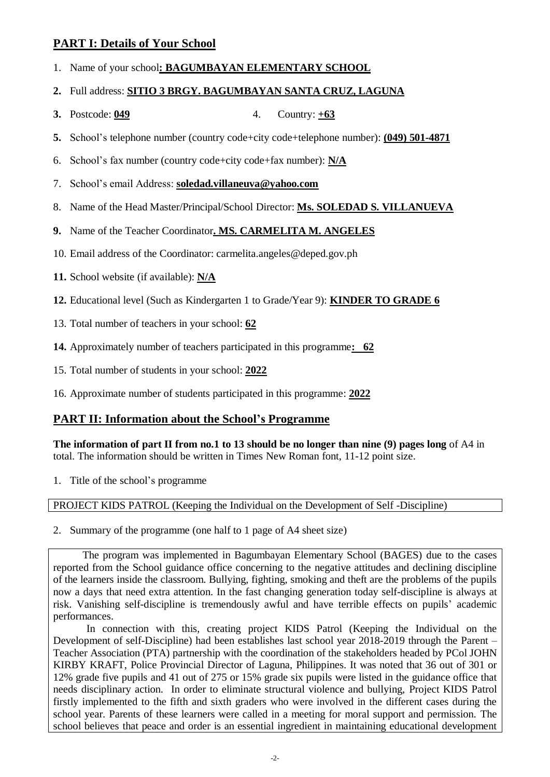# **PART I: Details of Your School**

- 1. Name of your school**: BAGUMBAYAN ELEMENTARY SCHOOL**
- **2.** Full address: **SITIO 3 BRGY. BAGUMBAYAN SANTA CRUZ, LAGUNA**
- **3.** Postcode: **049** 4. Country: **+63**
- **5.** School's telephone number (country code+city code+telephone number): **(049) 501-4871**
- 6. School's fax number (country code+city code+fax number): **N/A**
- 7. School's email Address: **soledad.villaneuva@yahoo.com**
- 8. Name of the Head Master/Principal/School Director: **Ms. SOLEDAD S. VILLANUEVA**
- **9.** Name of the Teacher Coordinator**. MS. CARMELITA M. ANGELES**
- 10. Email address of the Coordinator: carmelita.angeles@deped.gov.ph
- **11.** School website (if available): **N/A**
- **12.** Educational level (Such as Kindergarten 1 to Grade/Year 9): **KINDER TO GRADE 6**
- 13. Total number of teachers in your school: **62**
- **14.** Approximately number of teachers participated in this programme**: 62**
- 15. Total number of students in your school: **2022**
- 16. Approximate number of students participated in this programme: **2022**

# **PART II: Information about the School's Programme**

**The information of part II from no.1 to 13 should be no longer than nine (9) pages long** of A4 in total. The information should be written in Times New Roman font, 11-12 point size.

1. Title of the school's programme

PROJECT KIDS PATROL (Keeping the Individual on the Development of Self -Discipline)

2. Summary of the programme (one half to 1 page of A4 sheet size)

 The program was implemented in Bagumbayan Elementary School (BAGES) due to the cases reported from the School guidance office concerning to the negative attitudes and declining discipline of the learners inside the classroom. Bullying, fighting, smoking and theft are the problems of the pupils now a days that need extra attention. In the fast changing generation today self-discipline is always at risk. Vanishing self-discipline is tremendously awful and have terrible effects on pupils' academic performances.

In connection with this, creating project KIDS Patrol (Keeping the Individual on the Development of self-Discipline) had been establishes last school year 2018-2019 through the Parent – Teacher Association (PTA) partnership with the coordination of the stakeholders headed by PCol JOHN KIRBY KRAFT, Police Provincial Director of Laguna, Philippines. It was noted that 36 out of 301 or 12% grade five pupils and 41 out of 275 or 15% grade six pupils were listed in the guidance office that needs disciplinary action. In order to eliminate structural violence and bullying, Project KIDS Patrol firstly implemented to the fifth and sixth graders who were involved in the different cases during the school year. Parents of these learners were called in a meeting for moral support and permission. The school believes that peace and order is an essential ingredient in maintaining educational development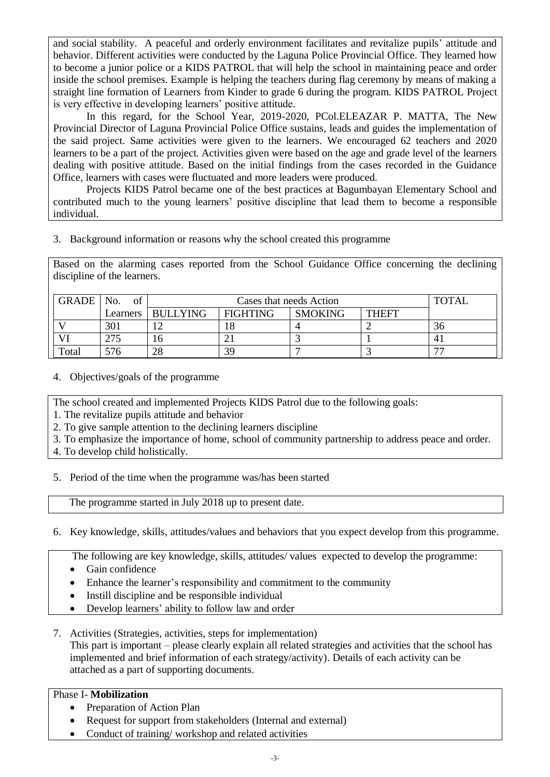and social stability. A peaceful and orderly environment facilitates and revitalize pupils' attitude and behavior. Different activities were conducted by the Laguna Police Provincial Office. They learned how to become a junior police or a KIDS PATROL that will help the school in maintaining peace and order inside the school premises. Example is helping the teachers during flag ceremony by means of making a straight line formation of Learners from Kinder to grade 6 during the program. KIDS PATROL Project is very effective in developing learners' positive attitude.

In this regard, for the School Year, 2019-2020, PCol.ELEAZAR P. MATTA, The New Provincial Director of Laguna Provincial Police Office sustains, leads and guides the implementation of the said project. Same activities were given to the learners. We encouraged 62 teachers and 2020 learners to be a part of the project. Activities given were based on the age and grade level of the learners dealing with positive attitude. Based on the initial findings from the cases recorded in the Guidance Office, learners with cases were fluctuated and more leaders were produced.

Projects KIDS Patrol became one of the best practices at Bagumbayan Elementary School and contributed much to the young learners' positive discipline that lead them to become a responsible individual.

3. Background information or reasons why the school created this programme

Based on the alarming cases reported from the School Guidance Office concerning the declining discipline of the learners.

| GRADE   No. | of  | Cases that needs Action |                 |                |              | <b>TOTAL</b>             |
|-------------|-----|-------------------------|-----------------|----------------|--------------|--------------------------|
|             |     | Learners   BULLYING     | <b>FIGHTING</b> | <b>SMOKING</b> | <b>THEFT</b> |                          |
|             | 301 |                         |                 |                |              | 36                       |
| VI          | 275 | 16                      |                 |                |              | 4.                       |
| Total       | 576 | 28                      | 39              |                |              | $\overline{\phantom{a}}$ |

4. Objectives/goals of the programme

The school created and implemented Projects KIDS Patrol due to the following goals:

1. The revitalize pupils attitude and behavior

2. To give sample attention to the declining learners discipline

3. To emphasize the importance of home, school of community partnership to address peace and order.

4. To develop child holistically.

5. Period of the time when the programme was/has been started

The programme started in July 2018 up to present date.

# 6. Key knowledge, skills, attitudes/values and behaviors that you expect develop from this programme.

The following are key knowledge, skills, attitudes/ values expected to develop the programme:

- Gain confidence
- Enhance the learner's responsibility and commitment to the community
- Instill discipline and be responsible individual
- Develop learners' ability to follow law and order
- 7. Activities (Strategies, activities, steps for implementation) This part is important – please clearly explain all related strategies and activities that the school has implemented and brief information of each strategy/activity). Details of each activity can be attached as a part of supporting documents.

# Phase I- **Mobilization**

- Preparation of Action Plan
- Request for support from stakeholders (Internal and external)
- Conduct of training/workshop and related activities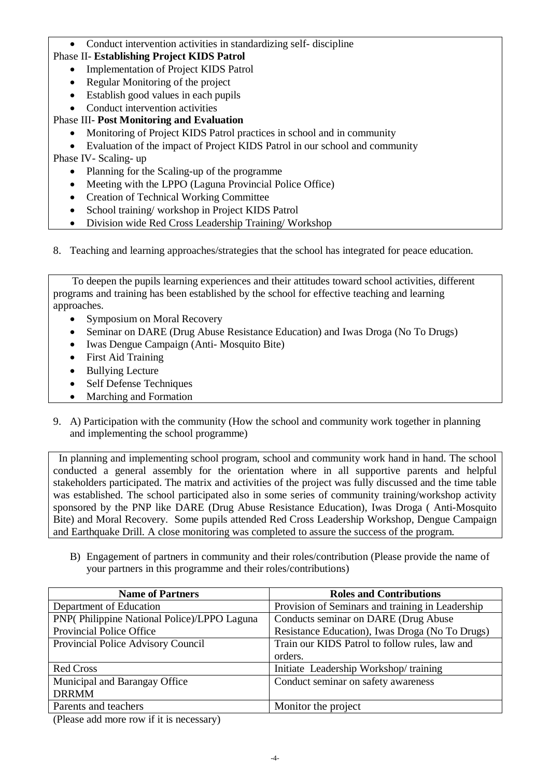## Conduct intervention activities in standardizing self- discipline

## Phase II- **Establishing Project KIDS Patrol**

- Implementation of Project KIDS Patrol
- Regular Monitoring of the project
- Establish good values in each pupils
- Conduct intervention activities
- Phase III- **Post Monitoring and Evaluation**
	- Monitoring of Project KIDS Patrol practices in school and in community
	- Evaluation of the impact of Project KIDS Patrol in our school and community

## Phase IV- Scaling- up

- Planning for the Scaling-up of the programme
- Meeting with the LPPO (Laguna Provincial Police Office)
- Creation of Technical Working Committee
- School training/workshop in Project KIDS Patrol
- Division wide Red Cross Leadership Training/ Workshop
- 8. Teaching and learning approaches/strategies that the school has integrated for peace education.

 To deepen the pupils learning experiences and their attitudes toward school activities, different programs and training has been established by the school for effective teaching and learning approaches.

- Symposium on Moral Recovery
- Seminar on DARE (Drug Abuse Resistance Education) and Iwas Droga (No To Drugs)
- Iwas Dengue Campaign (Anti- Mosquito Bite)
- First Aid Training
- Bullying Lecture
- Self Defense Techniques
- Marching and Formation
- 9. A) Participation with the community (How the school and community work together in planning and implementing the school programme)

 In planning and implementing school program, school and community work hand in hand. The school conducted a general assembly for the orientation where in all supportive parents and helpful stakeholders participated. The matrix and activities of the project was fully discussed and the time table was established. The school participated also in some series of community training/workshop activity sponsored by the PNP like DARE (Drug Abuse Resistance Education), Iwas Droga ( Anti-Mosquito Bite) and Moral Recovery. Some pupils attended Red Cross Leadership Workshop, Dengue Campaign and Earthquake Drill. A close monitoring was completed to assure the success of the program.

B) Engagement of partners in community and their roles/contribution (Please provide the name of your partners in this programme and their roles/contributions)

| <b>Name of Partners</b>                     | <b>Roles and Contributions</b>                   |
|---------------------------------------------|--------------------------------------------------|
| Department of Education                     | Provision of Seminars and training in Leadership |
| PNP(Philippine National Police)/LPPO Laguna | Conducts seminar on DARE (Drug Abuse             |
| Provincial Police Office                    | Resistance Education), Iwas Droga (No To Drugs)  |
| Provincial Police Advisory Council          | Train our KIDS Patrol to follow rules, law and   |
|                                             | orders.                                          |
| <b>Red Cross</b>                            | Initiate Leadership Workshop/training            |
| Municipal and Barangay Office               | Conduct seminar on safety awareness              |
| <b>DRRMM</b>                                |                                                  |
| Parents and teachers                        | Monitor the project                              |

(Please add more row if it is necessary)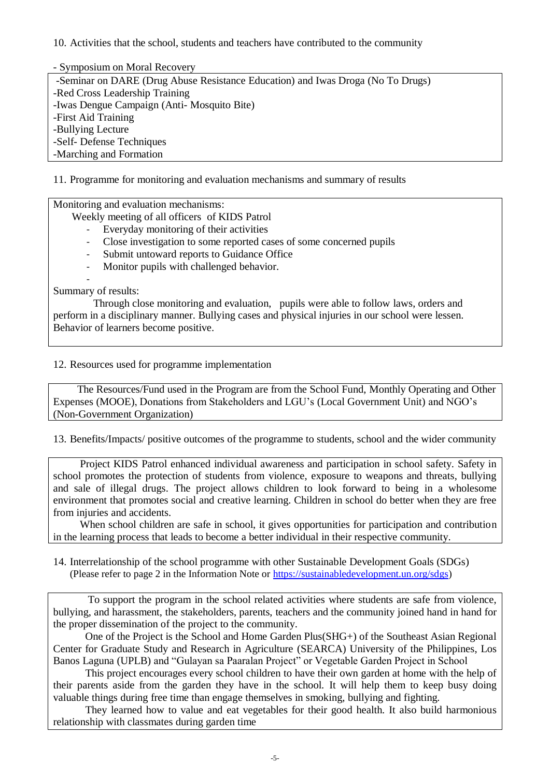10. Activities that the school, students and teachers have contributed to the community

- Symposium on Moral Recovery

-Seminar on DARE (Drug Abuse Resistance Education) and Iwas Droga (No To Drugs) -Red Cross Leadership Training -Iwas Dengue Campaign (Anti- Mosquito Bite) -First Aid Training -Bullying Lecture -Self- Defense Techniques -Marching and Formation

11. Programme for monitoring and evaluation mechanisms and summary of results

Monitoring and evaluation mechanisms:

Weekly meeting of all officers of KIDS Patrol

- Everyday monitoring of their activities
- Close investigation to some reported cases of some concerned pupils
- Submit untoward reports to Guidance Office
- Monitor pupils with challenged behavior.

- Summary of results:

 Through close monitoring and evaluation, pupils were able to follow laws, orders and perform in a disciplinary manner. Bullying cases and physical injuries in our school were lessen. Behavior of learners become positive.

### 12. Resources used for programme implementation

 The Resources/Fund used in the Program are from the School Fund, Monthly Operating and Other Expenses (MOOE), Donations from Stakeholders and LGU's (Local Government Unit) and NGO's (Non-Government Organization)

13. Benefits/Impacts/ positive outcomes of the programme to students, school and the wider community

 Project KIDS Patrol enhanced individual awareness and participation in school safety. Safety in school promotes the protection of students from violence, exposure to weapons and threats, bullying and sale of illegal drugs. The project allows children to look forward to being in a wholesome environment that promotes social and creative learning. Children in school do better when they are free from injuries and accidents.

 When school children are safe in school, it gives opportunities for participation and contribution in the learning process that leads to become a better individual in their respective community.

14. Interrelationship of the school programme with other Sustainable Development Goals (SDGs) (Please refer to page 2 in the Information Note or [https://sustainabledevelopment.un.org/sdgs\)](https://sustainabledevelopment.un.org/sdgs)

 To support the program in the school related activities where students are safe from violence, bullying, and harassment, the stakeholders, parents, teachers and the community joined hand in hand for the proper dissemination of the project to the community.

 One of the Project is the School and Home Garden Plus(SHG+) of the Southeast Asian Regional Center for Graduate Study and Research in Agriculture (SEARCA) University of the Philippines, Los Banos Laguna (UPLB) and "Gulayan sa Paaralan Project" or Vegetable Garden Project in School

 This project encourages every school children to have their own garden at home with the help of their parents aside from the garden they have in the school. It will help them to keep busy doing valuable things during free time than engage themselves in smoking, bullying and fighting.

 They learned how to value and eat vegetables for their good health. It also build harmonious relationship with classmates during garden time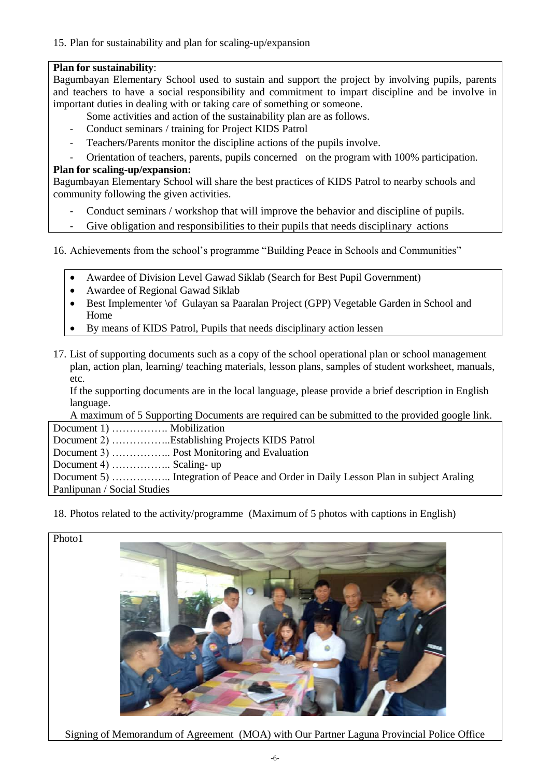15. Plan for sustainability and plan for scaling-up/expansion

## **Plan for sustainability**:

Bagumbayan Elementary School used to sustain and support the project by involving pupils, parents and teachers to have a social responsibility and commitment to impart discipline and be involve in important duties in dealing with or taking care of something or someone.

- Some activities and action of the sustainability plan are as follows.
- Conduct seminars / training for Project KIDS Patrol
- Teachers/Parents monitor the discipline actions of the pupils involve.
- Orientation of teachers, parents, pupils concerned on the program with 100% participation.

## **Plan for scaling-up/expansion:**

Bagumbayan Elementary School will share the best practices of KIDS Patrol to nearby schools and community following the given activities.

- Conduct seminars / workshop that will improve the behavior and discipline of pupils.
- Give obligation and responsibilities to their pupils that needs disciplinary actions

16. Achievements from the school's programme "Building Peace in Schools and Communities"

- Awardee of Division Level Gawad Siklab (Search for Best Pupil Government)
- Awardee of Regional Gawad Siklab
- Best Implementer \of Gulayan sa Paaralan Project (GPP) Vegetable Garden in School and Home
- By means of KIDS Patrol, Pupils that needs disciplinary action lessen
- 17. List of supporting documents such as a copy of the school operational plan or school management plan, action plan, learning/ teaching materials, lesson plans, samples of student worksheet, manuals, etc.

If the supporting documents are in the local language, please provide a brief description in English language.

A maximum of 5 Supporting Documents are required can be submitted to the provided google link.

|                             | Document 2) Establishing Projects KIDS Patrol |
|-----------------------------|-----------------------------------------------|
|                             |                                               |
| Document 4)  Scaling- up    |                                               |
|                             |                                               |
| Panlipunan / Social Studies |                                               |

18. Photos related to the activity/programme (Maximum of 5 photos with captions in English)



Signing of Memorandum of Agreement (MOA) with Our Partner Laguna Provincial Police Office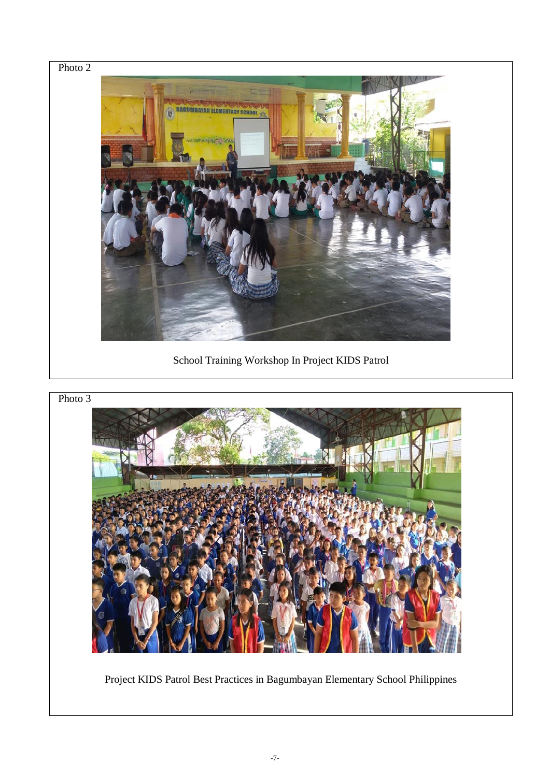

School Training Workshop In Project KIDS Patrol





Project KIDS Patrol Best Practices in Bagumbayan Elementary School Philippines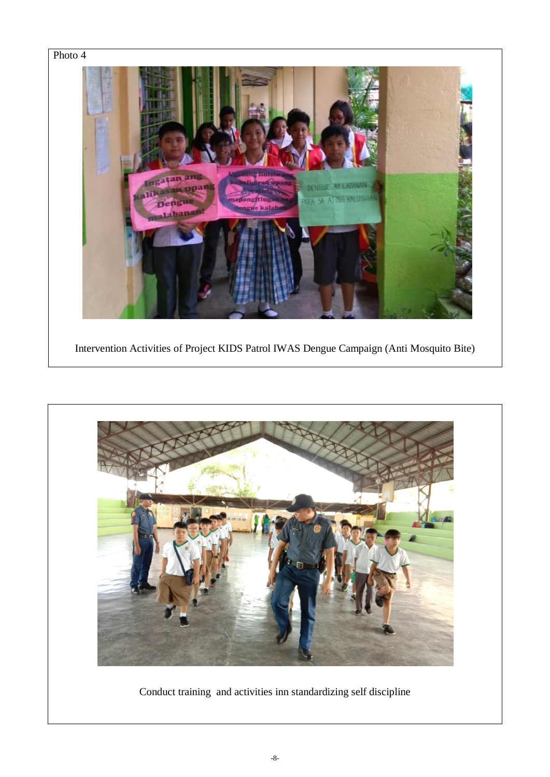



Conduct training and activities inn standardizing self discipline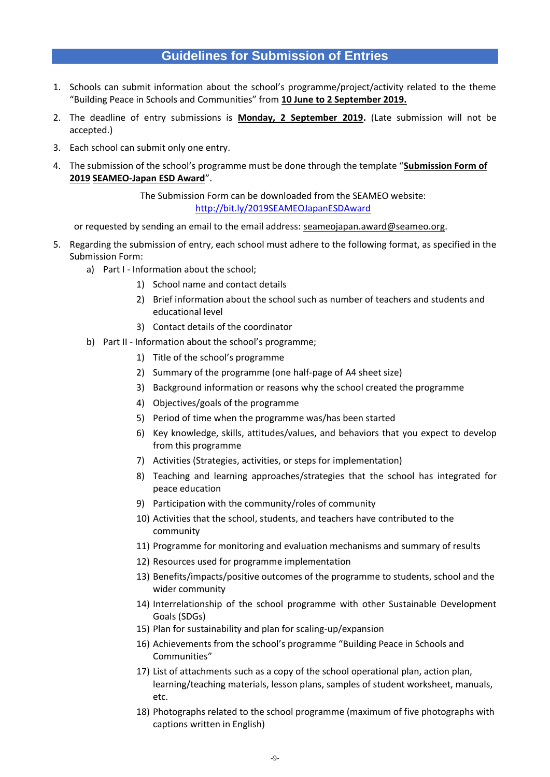# **Guidelines for Submission of Entries**

- 1. Schools can submit information about the school's programme/project/activity related to the theme "Building Peace in Schools and Communities" from **10 June to 2 September 2019.**
- 2. The deadline of entry submissions is **Monday, 2 September 2019.** (Late submission will not be accepted.)
- 3. Each school can submit only one entry.
- 4. The submission of the school's programme must be done through the template "**Submission Form of 2019 SEAMEO-Japan ESD Award**".

The Submission Form can be downloaded from the SEAMEO website: <http://bit.ly/2019SEAMEOJapanESDAward>

or requested by sending an email to the email address: seameojapan.award@seameo.org.

- 5. Regarding the submission of entry, each school must adhere to the following format, as specified in the Submission Form:
	- a) Part I Information about the school;
		- 1) School name and contact details
		- 2) Brief information about the school such as number of teachers and students and educational level
		- 3) Contact details of the coordinator
	- b) Part II Information about the school's programme;
		- 1) Title of the school's programme
		- 2) Summary of the programme (one half-page of A4 sheet size)
		- 3) Background information or reasons why the school created the programme
		- 4) Objectives/goals of the programme
		- 5) Period of time when the programme was/has been started
		- 6) Key knowledge, skills, attitudes/values, and behaviors that you expect to develop from this programme
		- 7) Activities (Strategies, activities, or steps for implementation)
		- 8) Teaching and learning approaches/strategies that the school has integrated for peace education
		- 9) Participation with the community/roles of community
		- 10) Activities that the school, students, and teachers have contributed to the community
		- 11) Programme for monitoring and evaluation mechanisms and summary of results
		- 12) Resources used for programme implementation
		- 13) Benefits/impacts/positive outcomes of the programme to students, school and the wider community
		- 14) Interrelationship of the school programme with other Sustainable Development Goals (SDGs)
		- 15) Plan for sustainability and plan for scaling-up/expansion
		- 16) Achievements from the school's programme "Building Peace in Schools and Communities"
		- 17) List of attachments such as a copy of the school operational plan, action plan, learning/teaching materials, lesson plans, samples of student worksheet, manuals, etc.
		- 18) Photographs related to the school programme (maximum of five photographs with captions written in English)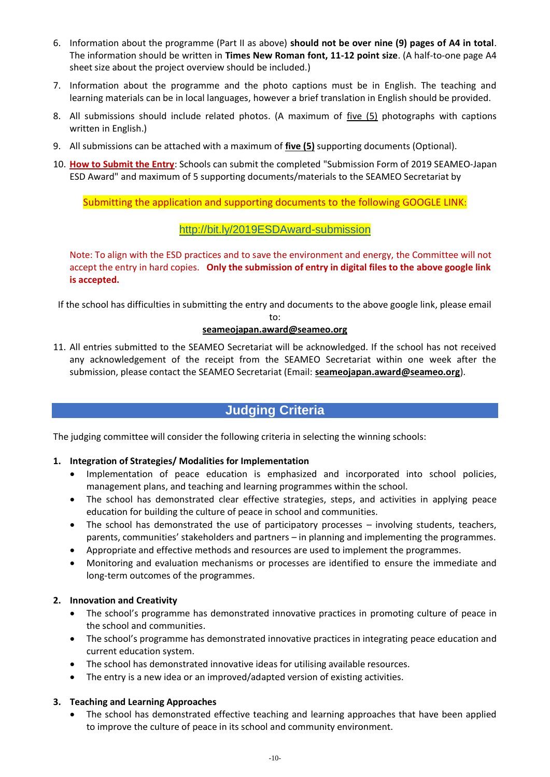- 6. Information about the programme (Part II as above) **should not be over nine (9) pages of A4 in total**. The information should be written in **Times New Roman font, 11-12 point size**. (A half-to-one page A4 sheet size about the project overview should be included.)
- 7. Information about the programme and the photo captions must be in English. The teaching and learning materials can be in local languages, however a brief translation in English should be provided.
- 8. All submissions should include related photos. (A maximum of five (5) photographs with captions written in English.)
- 9. All submissions can be attached with a maximum of **five (5)** supporting documents (Optional).
- 10. **How to Submit the Entry**: Schools can submit the completed "Submission Form of 2019 SEAMEO-Japan ESD Award" and maximum of 5 supporting documents/materials to the SEAMEO Secretariat by

Submitting the application and supporting documents to the following GOOGLE LINK:

## http://bit.ly/2019ESDAward-submission

Note: To align with the ESD practices and to save the environment and energy, the Committee will not accept the entry in hard copies. **Only the submission of entry in digital files to the above google link is accepted.**

If the school has difficulties in submitting the entry and documents to the above google link, please email

to:

#### **[seameojapan.award@seameo.org](mailto:seameojapan.award@seameo.org)**

11. All entries submitted to the SEAMEO Secretariat will be acknowledged. If the school has not received any acknowledgement of the receipt from the SEAMEO Secretariat within one week after the submission, please contact the SEAMEO Secretariat (Email: **[seameojapan.award@seameo.org](mailto:seameojapan.award@seameo.org)**).

# **Judging Criteria**

The judging committee will consider the following criteria in selecting the winning schools:

#### **1. Integration of Strategies/ Modalities for Implementation**

- Implementation of peace education is emphasized and incorporated into school policies, management plans, and teaching and learning programmes within the school.
- The school has demonstrated clear effective strategies, steps, and activities in applying peace education for building the culture of peace in school and communities.
- The school has demonstrated the use of participatory processes involving students, teachers, parents, communities' stakeholders and partners – in planning and implementing the programmes.
- Appropriate and effective methods and resources are used to implement the programmes.
- Monitoring and evaluation mechanisms or processes are identified to ensure the immediate and long-term outcomes of the programmes.

#### **2. Innovation and Creativity**

- The school's programme has demonstrated innovative practices in promoting culture of peace in the school and communities.
- The school's programme has demonstrated innovative practices in integrating peace education and current education system.
- The school has demonstrated innovative ideas for utilising available resources.
- The entry is a new idea or an improved/adapted version of existing activities.

#### **3. Teaching and Learning Approaches**

• The school has demonstrated effective teaching and learning approaches that have been applied to improve the culture of peace in its school and community environment.